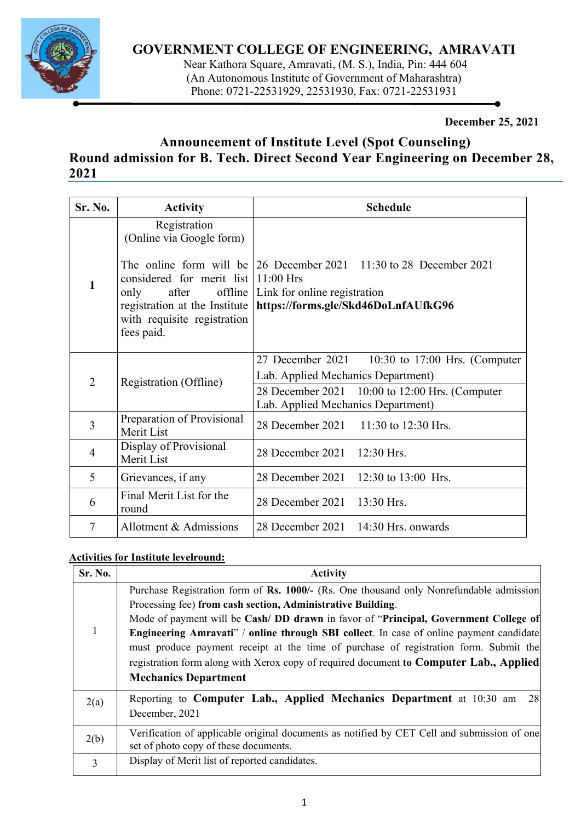

## **GOVERNMENT COLLEGE OF ENGINEERING, AMRAVATI**

 Near Kathora Square, Amravati, (M. S.), India, Pin: 444 604 (An Autonomous Institute of Government of Maharashtra) Phone: 0721-22531929, 22531930, Fax: 0721-22531931

**December 25, 2021** 

# **Announcement of Institute Level (Spot Counseling) Round admission for B. Tech. Direct Second Year Engineering on December 28, 2021**

j

| Sr. No.        | <b>Activity</b>                                                                                                                    | <b>Schedule</b>                                                                                                                                                                   |  |  |  |  |  |  |
|----------------|------------------------------------------------------------------------------------------------------------------------------------|-----------------------------------------------------------------------------------------------------------------------------------------------------------------------------------|--|--|--|--|--|--|
| 1              | Registration<br>(Online via Google form)                                                                                           |                                                                                                                                                                                   |  |  |  |  |  |  |
|                | considered for merit list 11:00 Hrs<br>after<br>only<br>registration at the Institute<br>with requisite registration<br>fees paid. | The online form will be $\begin{bmatrix} 26 \end{bmatrix}$ December 2021 11:30 to 28 December 2021<br>offline Link for online registration<br>https://forms.gle/Skd46DoLnfAUfkG96 |  |  |  |  |  |  |
| $\overline{2}$ |                                                                                                                                    | 27 December 2021 10:30 to 17:00 Hrs. (Computer                                                                                                                                    |  |  |  |  |  |  |
|                |                                                                                                                                    | Lab. Applied Mechanics Department)                                                                                                                                                |  |  |  |  |  |  |
|                | Registration (Offline)                                                                                                             | 28 December 2021 10:00 to 12:00 Hrs. (Computer<br>Lab. Applied Mechanics Department)                                                                                              |  |  |  |  |  |  |
| 3              | Preparation of Provisional<br>Merit List                                                                                           | 28 December 2021 11:30 to 12:30 Hrs.                                                                                                                                              |  |  |  |  |  |  |
| $\overline{4}$ | Display of Provisional<br>Merit List                                                                                               | 28 December 2021 12:30 Hrs.                                                                                                                                                       |  |  |  |  |  |  |
| 5              | Grievances, if any                                                                                                                 | 28 December 2021 12:30 to 13:00 Hrs.                                                                                                                                              |  |  |  |  |  |  |
| 6              | Final Merit List for the<br>round                                                                                                  | 28 December 2021 13:30 Hrs.                                                                                                                                                       |  |  |  |  |  |  |
| 7              | Allotment & Admissions                                                                                                             | 28 December 2021 14:30 Hrs. onwards                                                                                                                                               |  |  |  |  |  |  |

### **Activities for Institute levelround:**

| Sr. No. | <b>Activity</b>                                                                             |  |  |  |  |  |  |
|---------|---------------------------------------------------------------------------------------------|--|--|--|--|--|--|
|         | Purchase Registration form of Rs. 1000/- (Rs. One thousand only Nonrefundable admission     |  |  |  |  |  |  |
|         | Processing fee) from cash section, Administrative Building.                                 |  |  |  |  |  |  |
|         | Mode of payment will be Cash/ DD drawn in favor of "Principal, Government College of        |  |  |  |  |  |  |
|         | Engineering Amravati" / online through SBI collect. In case of online payment candidate     |  |  |  |  |  |  |
|         | must produce payment receipt at the time of purchase of registration form. Submit the       |  |  |  |  |  |  |
|         | registration form along with Xerox copy of required document to Computer Lab., Applied      |  |  |  |  |  |  |
|         | <b>Mechanics Department</b>                                                                 |  |  |  |  |  |  |
| 2(a)    | Reporting to Computer Lab., Applied Mechanics Department at 10:30 am<br>28                  |  |  |  |  |  |  |
|         | December, 2021                                                                              |  |  |  |  |  |  |
| 2(b)    | Verification of applicable original documents as notified by CET Cell and submission of one |  |  |  |  |  |  |
|         | set of photo copy of these documents.                                                       |  |  |  |  |  |  |
| 3       | Display of Merit list of reported candidates.                                               |  |  |  |  |  |  |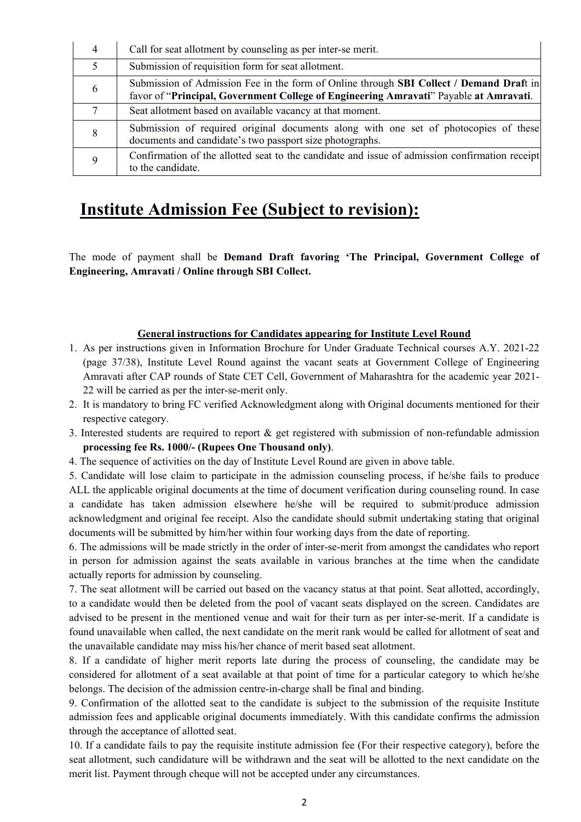| 4             | Call for seat allotment by counseling as per inter-se merit.                                                                                                                            |
|---------------|-----------------------------------------------------------------------------------------------------------------------------------------------------------------------------------------|
| $\mathcal{F}$ | Submission of requisition form for seat allotment.                                                                                                                                      |
| 6             | Submission of Admission Fee in the form of Online through <b>SBI Collect</b> / Demand Draft in<br>favor of "Principal, Government College of Engineering Amravati" Payable at Amravati. |
| 7             | Seat allotment based on available vacancy at that moment.                                                                                                                               |
| 8             | Submission of required original documents along with one set of photocopies of these<br>documents and candidate's two passport size photographs.                                        |
|               | Confirmation of the allotted seat to the candidate and issue of admission confirmation receipt<br>to the candidate.                                                                     |

# **Institute Admission Fee (Subject to revision):**

The mode of payment shall be **Demand Draft favoring 'The Principal, Government College of Engineering, Amravati / Online through SBI Collect.**

#### **General instructions for Candidates appearing for Institute Level Round**

- 1. As per instructions given in Information Brochure for Under Graduate Technical courses A.Y. 2021-22 (page 37/38), Institute Level Round against the vacant seats at Government College of Engineering Amravati after CAP rounds of State CET Cell, Government of Maharashtra for the academic year 2021- 22 will be carried as per the inter-se-merit only.
- 2. It is mandatory to bring FC verified Acknowledgment along with Original documents mentioned for their respective category.
- 3. Interested students are required to report & get registered with submission of non-refundable admission **processing fee Rs. 1000/- (Rupees One Thousand only)**.
- 4. The sequence of activities on the day of Institute Level Round are given in above table.

5. Candidate will lose claim to participate in the admission counseling process, if he/she fails to produce ALL the applicable original documents at the time of document verification during counseling round. In case a candidate has taken admission elsewhere he/she will be required to submit/produce admission acknowledgment and original fee receipt. Also the candidate should submit undertaking stating that original documents will be submitted by him/her within four working days from the date of reporting.

6. The admissions will be made strictly in the order of inter-se-merit from amongst the candidates who report in person for admission against the seats available in various branches at the time when the candidate actually reports for admission by counseling.

7. The seat allotment will be carried out based on the vacancy status at that point. Seat allotted, accordingly, to a candidate would then be deleted from the pool of vacant seats displayed on the screen. Candidates are advised to be present in the mentioned venue and wait for their turn as per inter-se-merit. If a candidate is found unavailable when called, the next candidate on the merit rank would be called for allotment of seat and the unavailable candidate may miss his/her chance of merit based seat allotment.

8. If a candidate of higher merit reports late during the process of counseling, the candidate may be considered for allotment of a seat available at that point of time for a particular category to which he/she belongs. The decision of the admission centre-in-charge shall be final and binding.

9. Confirmation of the allotted seat to the candidate is subject to the submission of the requisite Institute admission fees and applicable original documents immediately. With this candidate confirms the admission through the acceptance of allotted seat.

10. If a candidate fails to pay the requisite institute admission fee (For their respective category), before the seat allotment, such candidature will be withdrawn and the seat will be allotted to the next candidate on the merit list. Payment through cheque will not be accepted under any circumstances.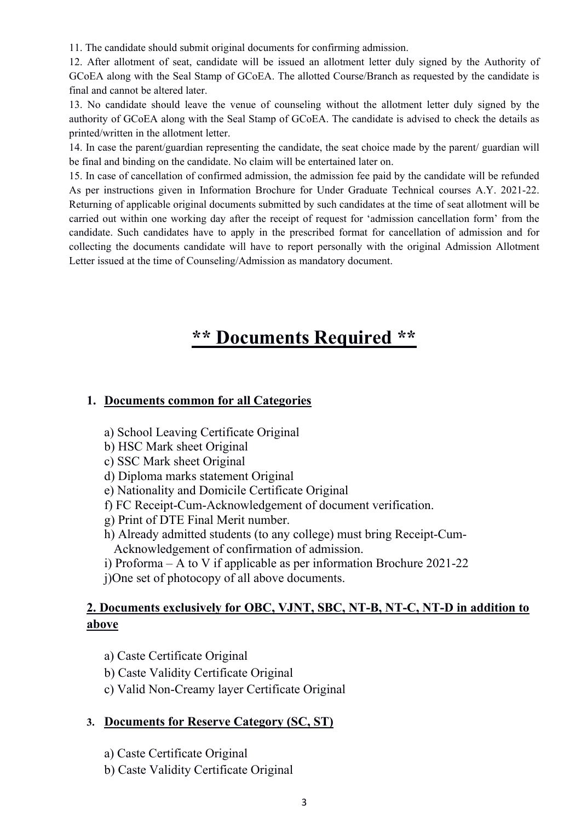11. The candidate should submit original documents for confirming admission.

12. After allotment of seat, candidate will be issued an allotment letter duly signed by the Authority of GCoEA along with the Seal Stamp of GCoEA. The allotted Course/Branch as requested by the candidate is final and cannot be altered later.

13. No candidate should leave the venue of counseling without the allotment letter duly signed by the authority of GCoEA along with the Seal Stamp of GCoEA. The candidate is advised to check the details as printed/written in the allotment letter.

14. In case the parent/guardian representing the candidate, the seat choice made by the parent/ guardian will be final and binding on the candidate. No claim will be entertained later on.

15. In case of cancellation of confirmed admission, the admission fee paid by the candidate will be refunded As per instructions given in Information Brochure for Under Graduate Technical courses A.Y. 2021-22. Returning of applicable original documents submitted by such candidates at the time of seat allotment will be carried out within one working day after the receipt of request for 'admission cancellation form' from the candidate. Such candidates have to apply in the prescribed format for cancellation of admission and for collecting the documents candidate will have to report personally with the original Admission Allotment Letter issued at the time of Counseling/Admission as mandatory document.

# **\*\* Documents Required \*\***

#### **1. Documents common for all Categories**

- a) School Leaving Certificate Original
- b) HSC Mark sheet Original
- c) SSC Mark sheet Original
- d) Diploma marks statement Original
- e) Nationality and Domicile Certificate Original
- f) FC Receipt-Cum-Acknowledgement of document verification.
- g) Print of DTE Final Merit number.
- h) Already admitted students (to any college) must bring Receipt-Cum- Acknowledgement of confirmation of admission.
- i) Proforma A to V if applicable as per information Brochure 2021-22
- j)One set of photocopy of all above documents.

## **2. Documents exclusively for OBC, VJNT, SBC, NT-B, NT-C, NT-D in addition to above**

- a) Caste Certificate Original
- b) Caste Validity Certificate Original
- c) Valid Non-Creamy layer Certificate Original

### **3. Documents for Reserve Category (SC, ST)**

- a) Caste Certificate Original
- b) Caste Validity Certificate Original